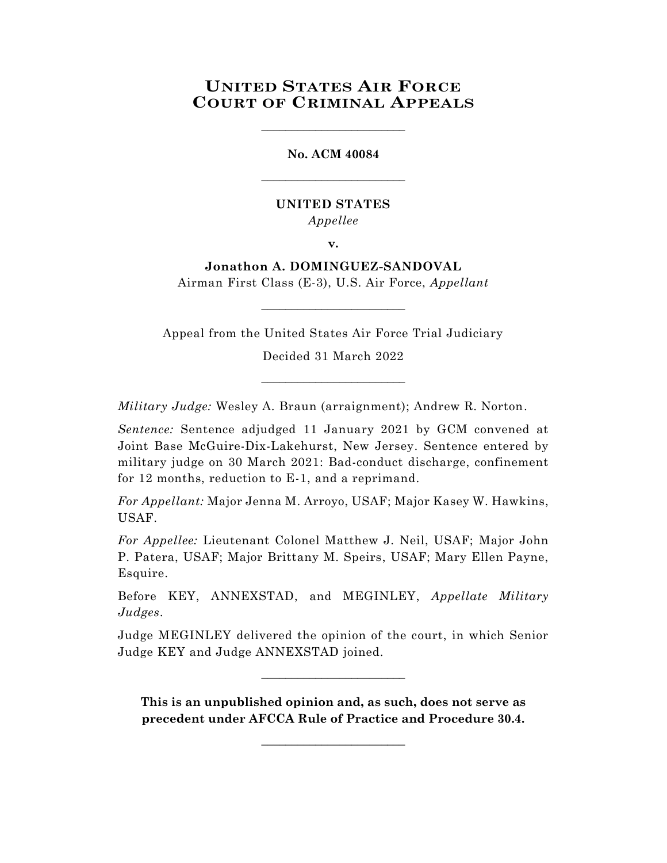# **UNITED STATES AIR FORCE COURT OF CRIMINAL APPEALS**

\_\_\_\_\_\_\_\_\_\_\_\_\_\_\_\_\_\_\_\_\_\_\_\_

**No. ACM 40084** \_\_\_\_\_\_\_\_\_\_\_\_\_\_\_\_\_\_\_\_\_\_\_\_

### **UNITED STATES** *Appellee*

**v.**

## **Jonathon A. DOMINGUEZ-SANDOVAL**

Airman First Class (E-3), U.S. Air Force, *Appellant* \_\_\_\_\_\_\_\_\_\_\_\_\_\_\_\_\_\_\_\_\_\_\_\_

Appeal from the United States Air Force Trial Judiciary

Decided 31 March 2022

\_\_\_\_\_\_\_\_\_\_\_\_\_\_\_\_\_\_\_\_\_\_\_\_

*Military Judge:* Wesley A. Braun (arraignment); Andrew R. Norton.

*Sentence:* Sentence adjudged 11 January 2021 by GCM convened at Joint Base McGuire-Dix-Lakehurst, New Jersey. Sentence entered by military judge on 30 March 2021: Bad-conduct discharge, confinement for 12 months, reduction to E-1, and a reprimand.

*For Appellant:* Major Jenna M. Arroyo, USAF; Major Kasey W. Hawkins, USAF.

*For Appellee:* Lieutenant Colonel Matthew J. Neil, USAF; Major John P. Patera, USAF; Major Brittany M. Speirs, USAF; Mary Ellen Payne, Esquire.

Before KEY, ANNEXSTAD, and MEGINLEY, *Appellate Military Judges*.

Judge MEGINLEY delivered the opinion of the court, in which Senior Judge KEY and Judge ANNEXSTAD joined.

 $\_$ 

**This is an unpublished opinion and, as such, does not serve as precedent under AFCCA Rule of Practice and Procedure 30.4.**

\_\_\_\_\_\_\_\_\_\_\_\_\_\_\_\_\_\_\_\_\_\_\_\_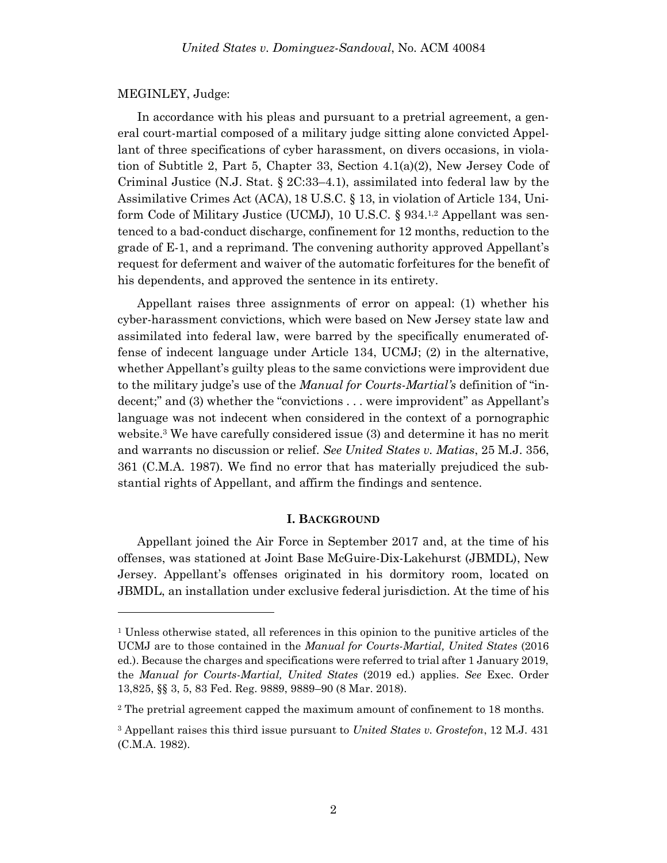#### MEGINLEY, Judge:

l

In accordance with his pleas and pursuant to a pretrial agreement, a general court-martial composed of a military judge sitting alone convicted Appellant of three specifications of cyber harassment, on divers occasions, in violation of Subtitle 2, Part 5, Chapter 33, Section 4.1(a)(2), New Jersey Code of Criminal Justice (N.J. Stat. § 2C:33–4.1), assimilated into federal law by the Assimilative Crimes Act (ACA), 18 U.S.C. § 13, in violation of Article 134, Uniform Code of Military Justice (UCMJ), 10 U.S.C. § 934.<sup>1,2</sup> Appellant was sentenced to a bad-conduct discharge, confinement for 12 months, reduction to the grade of E-1, and a reprimand. The convening authority approved Appellant's request for deferment and waiver of the automatic forfeitures for the benefit of his dependents, and approved the sentence in its entirety.

Appellant raises three assignments of error on appeal: (1) whether his cyber-harassment convictions, which were based on New Jersey state law and assimilated into federal law, were barred by the specifically enumerated offense of indecent language under Article 134, UCMJ; (2) in the alternative, whether Appellant's guilty pleas to the same convictions were improvident due to the military judge's use of the *Manual for Courts-Martial's* definition of "indecent;" and (3) whether the "convictions . . . were improvident" as Appellant's language was not indecent when considered in the context of a pornographic website. <sup>3</sup> We have carefully considered issue (3) and determine it has no merit and warrants no discussion or relief. *See United States v. Matias*, 25 M.J. 356, 361 (C.M.A. 1987). We find no error that has materially prejudiced the substantial rights of Appellant, and affirm the findings and sentence.

#### **I. BACKGROUND**

Appellant joined the Air Force in September 2017 and, at the time of his offenses, was stationed at Joint Base McGuire-Dix-Lakehurst (JBMDL), New Jersey. Appellant's offenses originated in his dormitory room, located on JBMDL, an installation under exclusive federal jurisdiction. At the time of his

<sup>1</sup> Unless otherwise stated, all references in this opinion to the punitive articles of the UCMJ are to those contained in the *Manual for Courts-Martial, United States* (2016 ed.). Because the charges and specifications were referred to trial after 1 January 2019, the *Manual for Courts-Martial, United States* (2019 ed.) applies. *See* Exec. Order 13,825, §§ 3, 5, 83 Fed. Reg. 9889, 9889–90 (8 Mar. 2018).

<sup>2</sup> The pretrial agreement capped the maximum amount of confinement to 18 months.

<sup>3</sup> Appellant raises this third issue pursuant to *United States v. Grostefon*, 12 M.J. 431 (C.M.A. 1982).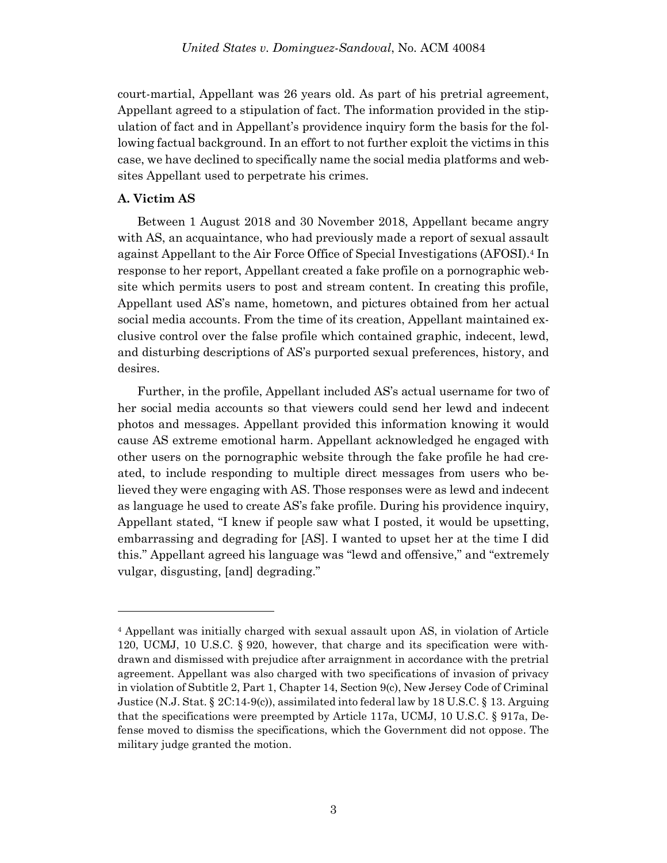court-martial, Appellant was 26 years old. As part of his pretrial agreement, Appellant agreed to a stipulation of fact. The information provided in the stipulation of fact and in Appellant's providence inquiry form the basis for the following factual background. In an effort to not further exploit the victims in this case, we have declined to specifically name the social media platforms and websites Appellant used to perpetrate his crimes.

### **A. Victim AS**

Between 1 August 2018 and 30 November 2018, Appellant became angry with AS, an acquaintance, who had previously made a report of sexual assault against Appellant to the Air Force Office of Special Investigations (AFOSI). <sup>4</sup> In response to her report, Appellant created a fake profile on a pornographic website which permits users to post and stream content. In creating this profile, Appellant used AS's name, hometown, and pictures obtained from her actual social media accounts. From the time of its creation, Appellant maintained exclusive control over the false profile which contained graphic, indecent, lewd, and disturbing descriptions of AS's purported sexual preferences, history, and desires.

Further, in the profile, Appellant included AS's actual username for two of her social media accounts so that viewers could send her lewd and indecent photos and messages. Appellant provided this information knowing it would cause AS extreme emotional harm. Appellant acknowledged he engaged with other users on the pornographic website through the fake profile he had created, to include responding to multiple direct messages from users who believed they were engaging with AS. Those responses were as lewd and indecent as language he used to create AS's fake profile. During his providence inquiry, Appellant stated, "I knew if people saw what I posted, it would be upsetting, embarrassing and degrading for [AS]. I wanted to upset her at the time I did this." Appellant agreed his language was "lewd and offensive," and "extremely vulgar, disgusting, [and] degrading."

<sup>4</sup> Appellant was initially charged with sexual assault upon AS, in violation of Article 120, UCMJ, 10 U.S.C. § 920, however, that charge and its specification were withdrawn and dismissed with prejudice after arraignment in accordance with the pretrial agreement. Appellant was also charged with two specifications of invasion of privacy in violation of Subtitle 2, Part 1, Chapter 14, Section 9(c), New Jersey Code of Criminal Justice (N.J. Stat. §  $2C:14-9(c)$ ), assimilated into federal law by 18 U.S.C. § 13. Arguing that the specifications were preempted by Article 117a, UCMJ, 10 U.S.C. § 917a, Defense moved to dismiss the specifications, which the Government did not oppose. The military judge granted the motion.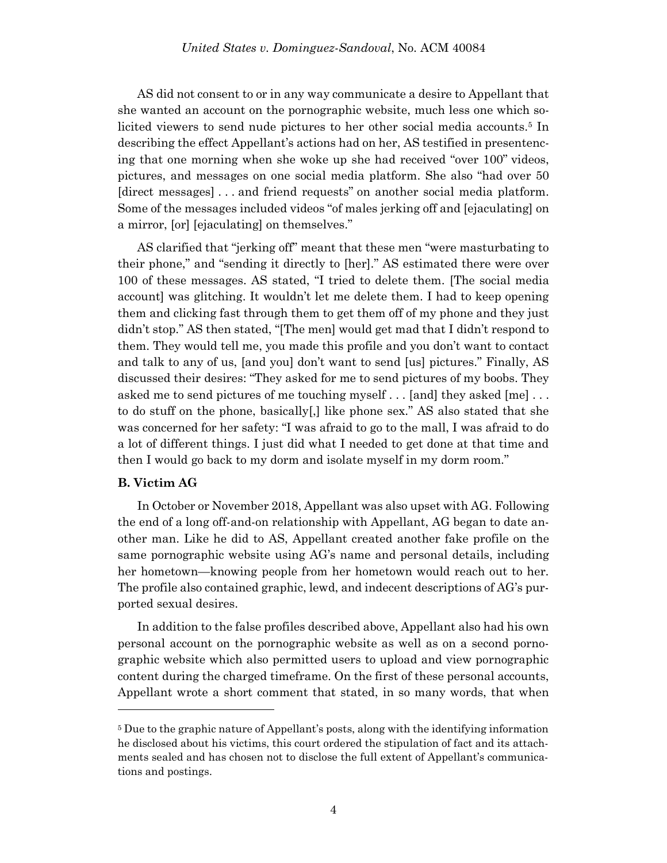AS did not consent to or in any way communicate a desire to Appellant that she wanted an account on the pornographic website, much less one which solicited viewers to send nude pictures to her other social media accounts.<sup>5</sup> In describing the effect Appellant's actions had on her, AS testified in presentencing that one morning when she woke up she had received "over 100" videos, pictures, and messages on one social media platform. She also "had over 50 [direct messages] . . . and friend requests" on another social media platform. Some of the messages included videos "of males jerking off and [ejaculating] on a mirror, [or] [ejaculating] on themselves."

AS clarified that "jerking off" meant that these men "were masturbating to their phone," and "sending it directly to [her]." AS estimated there were over 100 of these messages. AS stated, "I tried to delete them. [The social media account] was glitching. It wouldn't let me delete them. I had to keep opening them and clicking fast through them to get them off of my phone and they just didn't stop." AS then stated, "[The men] would get mad that I didn't respond to them. They would tell me, you made this profile and you don't want to contact and talk to any of us, [and you] don't want to send [us] pictures." Finally, AS discussed their desires: "They asked for me to send pictures of my boobs. They asked me to send pictures of me touching myself . . . [and] they asked [me] . . . to do stuff on the phone, basically[,] like phone sex." AS also stated that she was concerned for her safety: "I was afraid to go to the mall, I was afraid to do a lot of different things. I just did what I needed to get done at that time and then I would go back to my dorm and isolate myself in my dorm room."

### **B. Victim AG**

l

In October or November 2018, Appellant was also upset with AG. Following the end of a long off-and-on relationship with Appellant, AG began to date another man. Like he did to AS, Appellant created another fake profile on the same pornographic website using AG's name and personal details, including her hometown—knowing people from her hometown would reach out to her. The profile also contained graphic, lewd, and indecent descriptions of AG's purported sexual desires.

In addition to the false profiles described above, Appellant also had his own personal account on the pornographic website as well as on a second pornographic website which also permitted users to upload and view pornographic content during the charged timeframe. On the first of these personal accounts, Appellant wrote a short comment that stated, in so many words, that when

<sup>5</sup> Due to the graphic nature of Appellant's posts, along with the identifying information he disclosed about his victims, this court ordered the stipulation of fact and its attachments sealed and has chosen not to disclose the full extent of Appellant's communications and postings.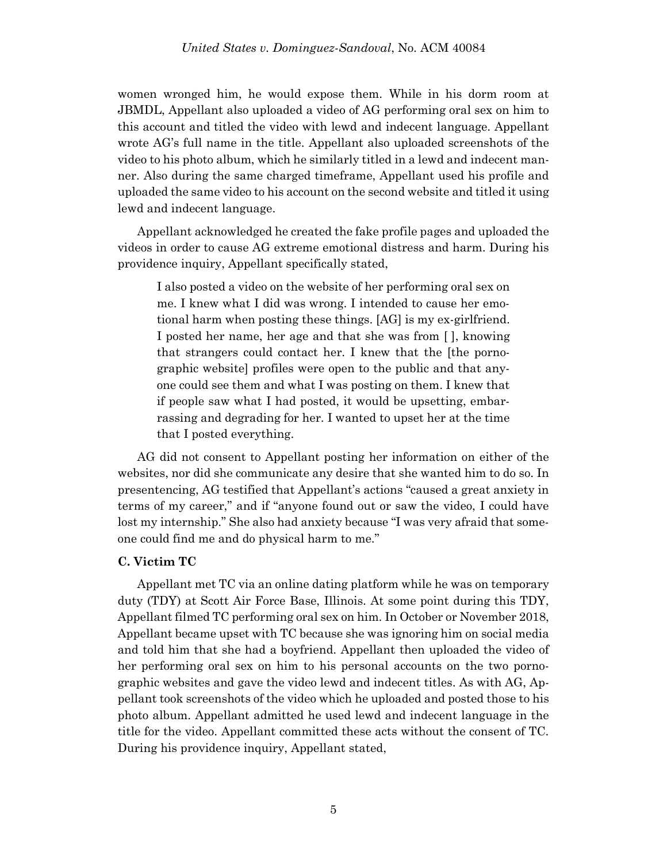women wronged him, he would expose them. While in his dorm room at JBMDL, Appellant also uploaded a video of AG performing oral sex on him to this account and titled the video with lewd and indecent language. Appellant wrote AG's full name in the title. Appellant also uploaded screenshots of the video to his photo album, which he similarly titled in a lewd and indecent manner. Also during the same charged timeframe, Appellant used his profile and uploaded the same video to his account on the second website and titled it using lewd and indecent language.

Appellant acknowledged he created the fake profile pages and uploaded the videos in order to cause AG extreme emotional distress and harm. During his providence inquiry, Appellant specifically stated,

I also posted a video on the website of her performing oral sex on me. I knew what I did was wrong. I intended to cause her emotional harm when posting these things. [AG] is my ex-girlfriend. I posted her name, her age and that she was from [ ], knowing that strangers could contact her. I knew that the [the pornographic website] profiles were open to the public and that anyone could see them and what I was posting on them. I knew that if people saw what I had posted, it would be upsetting, embarrassing and degrading for her. I wanted to upset her at the time that I posted everything.

AG did not consent to Appellant posting her information on either of the websites, nor did she communicate any desire that she wanted him to do so. In presentencing, AG testified that Appellant's actions "caused a great anxiety in terms of my career," and if "anyone found out or saw the video, I could have lost my internship." She also had anxiety because "I was very afraid that someone could find me and do physical harm to me."

#### **C. Victim TC**

Appellant met TC via an online dating platform while he was on temporary duty (TDY) at Scott Air Force Base, Illinois. At some point during this TDY, Appellant filmed TC performing oral sex on him. In October or November 2018, Appellant became upset with TC because she was ignoring him on social media and told him that she had a boyfriend. Appellant then uploaded the video of her performing oral sex on him to his personal accounts on the two pornographic websites and gave the video lewd and indecent titles. As with AG, Appellant took screenshots of the video which he uploaded and posted those to his photo album. Appellant admitted he used lewd and indecent language in the title for the video. Appellant committed these acts without the consent of TC. During his providence inquiry, Appellant stated,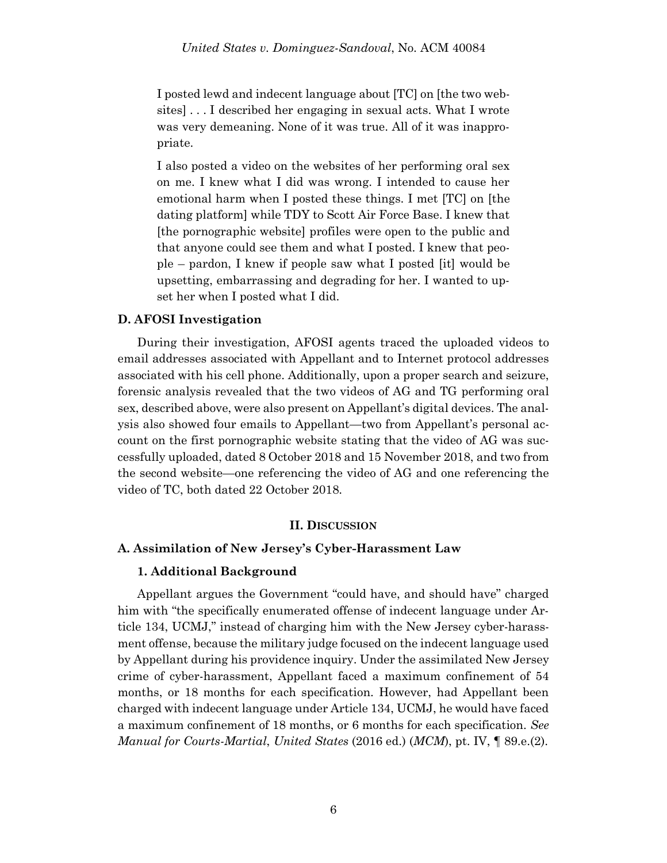I posted lewd and indecent language about [TC] on [the two websites] . . . I described her engaging in sexual acts. What I wrote was very demeaning. None of it was true. All of it was inappropriate.

I also posted a video on the websites of her performing oral sex on me. I knew what I did was wrong. I intended to cause her emotional harm when I posted these things. I met [TC] on [the dating platform] while TDY to Scott Air Force Base. I knew that [the pornographic website] profiles were open to the public and that anyone could see them and what I posted. I knew that people – pardon, I knew if people saw what I posted [it] would be upsetting, embarrassing and degrading for her. I wanted to upset her when I posted what I did.

### **D. AFOSI Investigation**

During their investigation, AFOSI agents traced the uploaded videos to email addresses associated with Appellant and to Internet protocol addresses associated with his cell phone. Additionally, upon a proper search and seizure, forensic analysis revealed that the two videos of AG and TG performing oral sex, described above, were also present on Appellant's digital devices. The analysis also showed four emails to Appellant—two from Appellant's personal account on the first pornographic website stating that the video of AG was successfully uploaded, dated 8 October 2018 and 15 November 2018, and two from the second website—one referencing the video of AG and one referencing the video of TC, both dated 22 October 2018.

### **II. DISCUSSION**

### **A. Assimilation of New Jersey's Cyber-Harassment Law**

### **1. Additional Background**

Appellant argues the Government "could have, and should have" charged him with "the specifically enumerated offense of indecent language under Article 134, UCMJ," instead of charging him with the New Jersey cyber-harassment offense, because the military judge focused on the indecent language used by Appellant during his providence inquiry. Under the assimilated New Jersey crime of cyber-harassment, Appellant faced a maximum confinement of 54 months, or 18 months for each specification. However, had Appellant been charged with indecent language under Article 134, UCMJ, he would have faced a maximum confinement of 18 months, or 6 months for each specification. *See Manual for Courts-Martial*, *United States* (2016 ed.) (*MCM*), pt. IV, ¶ 89.e.(2).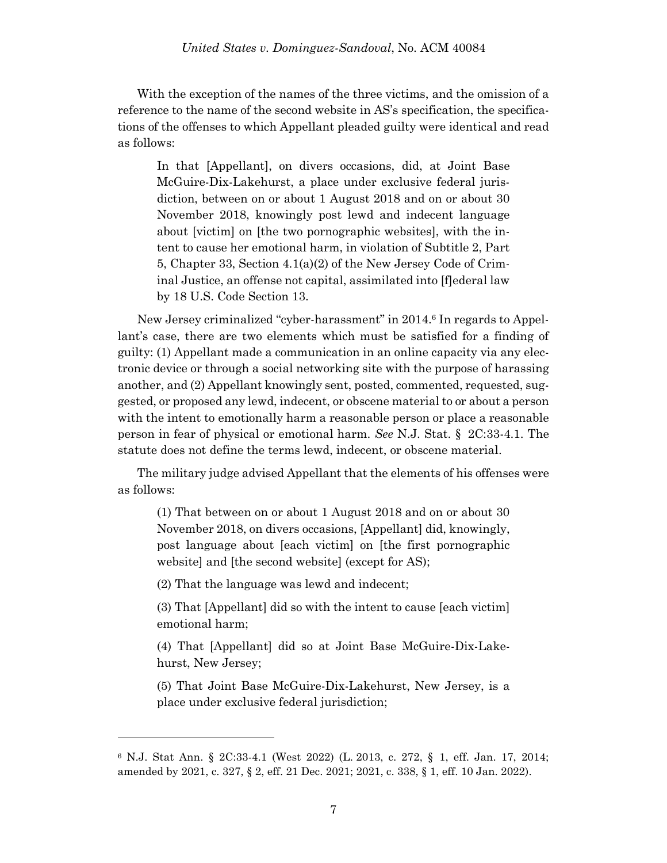With the exception of the names of the three victims, and the omission of a reference to the name of the second website in AS's specification, the specifications of the offenses to which Appellant pleaded guilty were identical and read as follows:

In that [Appellant], on divers occasions, did, at Joint Base McGuire-Dix-Lakehurst, a place under exclusive federal jurisdiction, between on or about 1 August 2018 and on or about 30 November 2018, knowingly post lewd and indecent language about [victim] on [the two pornographic websites], with the intent to cause her emotional harm, in violation of Subtitle 2, Part 5, Chapter 33, Section 4.1(a)(2) of the New Jersey Code of Criminal Justice, an offense not capital, assimilated into [f]ederal law by 18 U.S. Code Section 13.

New Jersey criminalized "cyber-harassment" in 2014.<sup>6</sup> In regards to Appellant's case, there are two elements which must be satisfied for a finding of guilty: (1) Appellant made a communication in an online capacity via any electronic device or through a social networking site with the purpose of harassing another, and (2) Appellant knowingly sent, posted, commented, requested, suggested, or proposed any lewd, indecent, or obscene material to or about a person with the intent to emotionally harm a reasonable person or place a reasonable person in fear of physical or emotional harm. *See* N.J. Stat. § 2C:33-4.1. The statute does not define the terms lewd, indecent, or obscene material.

The military judge advised Appellant that the elements of his offenses were as follows:

(1) That between on or about 1 August 2018 and on or about 30 November 2018, on divers occasions, [Appellant] did, knowingly, post language about [each victim] on [the first pornographic website] and [the second website] (except for AS);

(2) That the language was lewd and indecent;

l

(3) That [Appellant] did so with the intent to cause [each victim] emotional harm;

(4) That [Appellant] did so at Joint Base McGuire-Dix-Lakehurst, New Jersey;

(5) That Joint Base McGuire-Dix-Lakehurst, New Jersey, is a place under exclusive federal jurisdiction;

<sup>6</sup> N.J. Stat Ann. § 2C:33-4.1 (West 2022) (L. [2013, c. 272,](https://plus.lexis.com/document/documentlink/?pdmfid=1530671&crid=0fa64bd1-5550-4e11-85ce-d117f76b6de4&pddocfullpath=%2Fshared%2Fdocument%2Fstatutes-legislation%2Furn%3AcontentItem%3A64ST-RJS3-CH1B-T392-00000-00&pdcontentcomponentid=9077&pdproductcontenttypeid=urn%3Apct%3A83&pdiskwicview=false&pdpinpoint=_a_2&ecomp=bgktk) § 1, eff. Jan. 17, 2014; amended by [2021, c. 327,](https://plus.lexis.com/document/documentlink/?pdmfid=1530671&crid=0fa64bd1-5550-4e11-85ce-d117f76b6de4&pddocfullpath=%2Fshared%2Fdocument%2Fstatutes-legislation%2Furn%3AcontentItem%3A64ST-RJS3-CH1B-T392-00000-00&pdcontentcomponentid=9077&pdproductcontenttypeid=urn%3Apct%3A83&pdiskwicview=false&pdpinpoint=_a_2&ecomp=bgktk) § 2, eff. 21 Dec. 2021; [2021, c. 338,](https://plus.lexis.com/document/documentlink/?pdmfid=1530671&crid=0fa64bd1-5550-4e11-85ce-d117f76b6de4&pddocfullpath=%2Fshared%2Fdocument%2Fstatutes-legislation%2Furn%3AcontentItem%3A64ST-RJS3-CH1B-T392-00000-00&pdcontentcomponentid=9077&pdproductcontenttypeid=urn%3Apct%3A83&pdiskwicview=false&pdpinpoint=_a_2&ecomp=bgktk) § 1, eff. 10 Jan. 2022).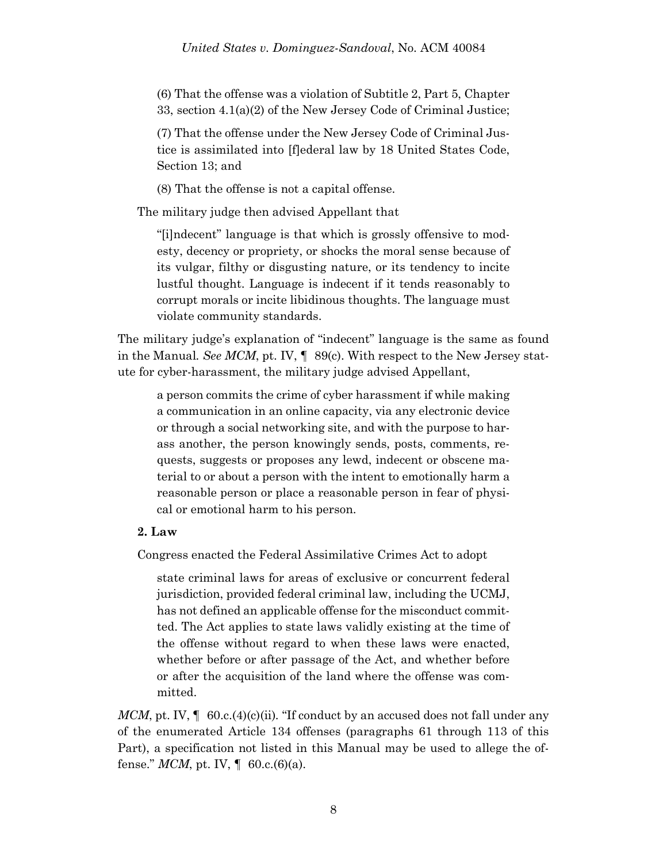(6) That the offense was a violation of Subtitle 2, Part 5, Chapter 33, section 4.1(a)(2) of the New Jersey Code of Criminal Justice;

(7) That the offense under the New Jersey Code of Criminal Justice is assimilated into [f]ederal law by 18 United States Code, Section 13; and

(8) That the offense is not a capital offense.

The military judge then advised Appellant that

"[i]ndecent" language is that which is grossly offensive to modesty, decency or propriety, or shocks the moral sense because of its vulgar, filthy or disgusting nature, or its tendency to incite lustful thought. Language is indecent if it tends reasonably to corrupt morals or incite libidinous thoughts. The language must violate community standards.

The military judge's explanation of "indecent" language is the same as found in the Manual*. See MCM*, pt. IV, ¶ 89(c). With respect to the New Jersey statute for cyber-harassment, the military judge advised Appellant,

a person commits the crime of cyber harassment if while making a communication in an online capacity, via any electronic device or through a social networking site, and with the purpose to harass another, the person knowingly sends, posts, comments, requests, suggests or proposes any lewd, indecent or obscene material to or about a person with the intent to emotionally harm a reasonable person or place a reasonable person in fear of physical or emotional harm to his person.

### **2. Law**

Congress enacted the Federal Assimilative Crimes Act to adopt

state criminal laws for areas of exclusive or concurrent federal jurisdiction, provided federal criminal law, including the UCMJ, has not defined an applicable offense for the misconduct committed. The Act applies to state laws validly existing at the time of the offense without regard to when these laws were enacted, whether before or after passage of the Act, and whether before or after the acquisition of the land where the offense was committed.

*MCM*, pt. IV, ¶ 60.c.(4)(c)(ii)*.* "If conduct by an accused does not fall under any of the enumerated Article 134 offenses (paragraphs 61 through 113 of this Part), a specification not listed in this Manual may be used to allege the offense." *MCM*, pt. IV,  $\parallel$  60.c.(6)(a).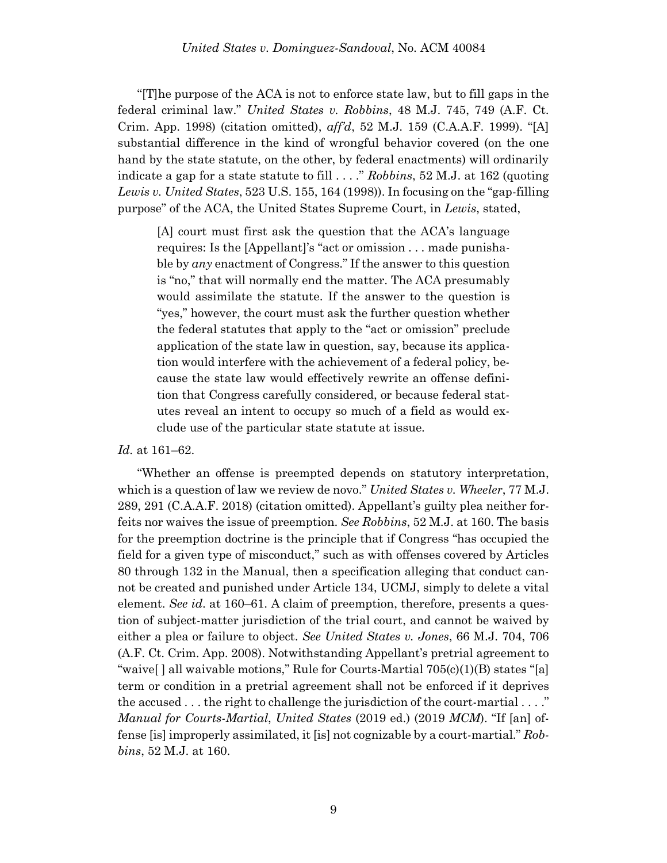"[T]he purpose of the ACA is not to enforce state law, but to fill gaps in the federal criminal law." *United States v. Robbins*, 48 M.J. 745, 749 (A.F. Ct. Crim. App. 1998) (citation omitted), *aff'd*, 52 M.J. 159 (C.A.A.F. 1999). "[A] substantial difference in the kind of wrongful behavior covered (on the one hand by the state statute, on the other, by federal enactments) will ordinarily indicate a gap for a state statute to fill . . . ." *Robbins*, 52 M.J. at 162 (quoting *Lewis v. United States*, 523 U.S. 155, 164 (1998)). In focusing on the "gap-filling purpose" of the ACA, the United States Supreme Court, in *Lewis*, stated,

[A] court must first ask the question that the ACA's language requires: Is the [Appellant]'s "act or omission . . . made punishable by *any* enactment of Congress." If the answer to this question is "no," that will normally end the matter. The ACA presumably would assimilate the statute. If the answer to the question is "yes," however, the court must ask the further question whether the federal statutes that apply to the "act or omission" preclude application of the state law in question, say, because its application would interfere with the achievement of a federal policy, because the state law would effectively rewrite an offense definition that Congress carefully considered, or because federal statutes reveal an intent to occupy so much of a field as would exclude use of the particular state statute at issue.

### *Id.* at 161–62.

"Whether an offense is preempted depends on statutory interpretation, which is a question of law we review de novo." *United States v. Wheeler*, 77 M.J. 289, 291 (C.A.A.F. 2018) (citation omitted). Appellant's guilty plea neither forfeits nor waives the issue of preemption. *See Robbins*, 52 M.J. at 160. The basis for the preemption doctrine is the principle that if Congress "has occupied the field for a given type of misconduct," such as with offenses covered by Articles 80 through 132 in the Manual, then a specification alleging that conduct cannot be created and punished under Article 134, UCMJ, simply to delete a vital element. *See id*. at 160–61. A claim of preemption, therefore, presents a question of subject-matter jurisdiction of the trial court, and cannot be waived by either a plea or failure to object. *See United States v. Jones*, 66 M.J. 704, 706 (A.F. Ct. Crim. App. 2008). Notwithstanding Appellant's pretrial agreement to "waive[ ] all waivable motions," Rule for Courts-Martial 705(c)(1)(B) states "[a] term or condition in a pretrial agreement shall not be enforced if it deprives the accused . . . the right to challenge the jurisdiction of the court-martial . . . ." *Manual for Courts-Martial*, *United States* (2019 ed.) (2019 *MCM*). "If [an] offense [is] improperly assimilated, it [is] not cognizable by a court-martial." *Robbins*, 52 M.J. at 160.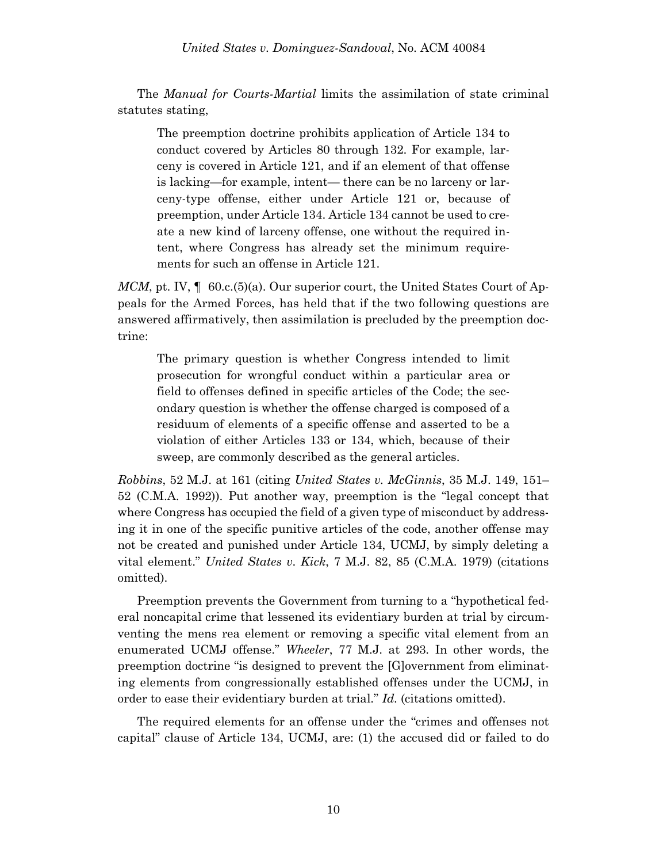The *Manual for Courts-Martial* limits the assimilation of state criminal statutes stating,

The preemption doctrine prohibits application of Article 134 to conduct covered by Articles 80 through 132. For example, larceny is covered in Article 121, and if an element of that offense is lacking—for example, intent— there can be no larceny or larceny-type offense, either under Article 121 or, because of preemption, under Article 134. Article 134 cannot be used to create a new kind of larceny offense, one without the required intent, where Congress has already set the minimum requirements for such an offense in Article 121.

*MCM*, pt. IV,  $\parallel$  60.c.(5)(a). Our superior court, the United States Court of Appeals for the Armed Forces, has held that if the two following questions are answered affirmatively, then assimilation is precluded by the preemption doctrine:

The primary question is whether Congress intended to limit prosecution for wrongful conduct within a particular area or field to offenses defined in specific articles of the Code; the secondary question is whether the offense charged is composed of a residuum of elements of a specific offense and asserted to be a violation of either Articles 133 or 134, which, because of their sweep, are commonly described as the general articles.

*Robbins*, 52 M.J. at 161 (citing *United States v. McGinnis*, 35 M.J. 149, 151– 52 (C.M.A. 1992)). Put another way, preemption is the "legal concept that where Congress has occupied the field of a given type of misconduct by addressing it in one of the specific punitive articles of the code, another offense may not be created and punished under Article 134, UCMJ, by simply deleting a vital element." *United States v. Kick*, 7 M.J. 82, 85 (C.M.A. 1979) (citations omitted).

Preemption prevents the Government from turning to a "hypothetical federal noncapital crime that lessened its evidentiary burden at trial by circumventing the mens rea element or removing a specific vital element from an enumerated UCMJ offense." *Wheeler*, 77 M.J. at 293. In other words, the preemption doctrine "is designed to prevent the [G]overnment from eliminating elements from congressionally established offenses under the UCMJ, in order to ease their evidentiary burden at trial." *Id.* (citations omitted).

The required elements for an offense under the "crimes and offenses not capital" clause of Article 134, UCMJ, are: (1) the accused did or failed to do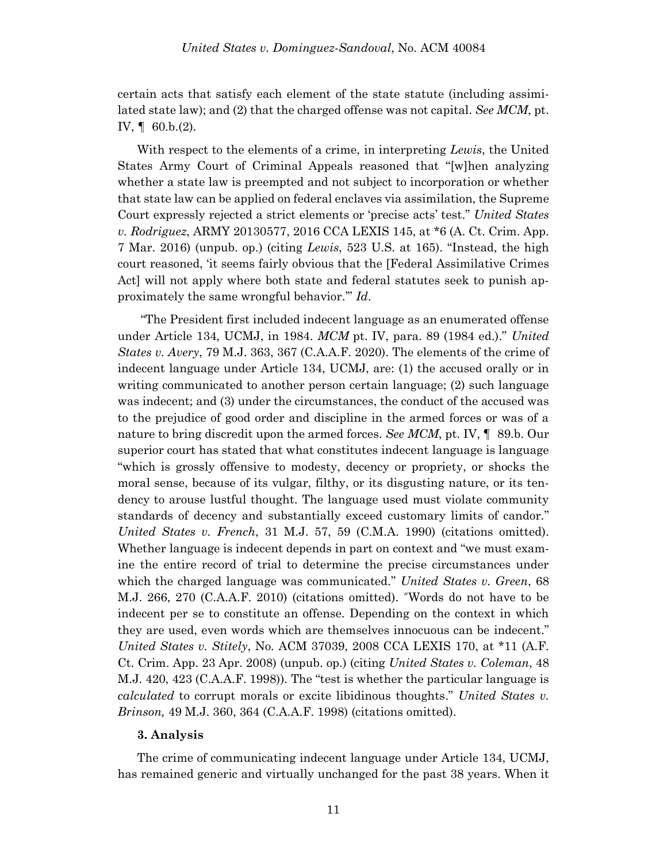certain acts that satisfy each element of the state statute (including assimilated state law); and (2) that the charged offense was not capital. *See MCM*, pt. IV, ¶ 60.b.(2).

With respect to the elements of a crime, in interpreting *Lewis*, the United States Army Court of Criminal Appeals reasoned that "[w]hen analyzing whether a state law is preempted and not subject to incorporation or whether that state law can be applied on federal enclaves via assimilation, the Supreme Court expressly rejected a strict elements or 'precise acts' test." *United States v. Rodriguez*, ARMY 20130577, 2016 CCA LEXIS 145, at \*6 (A. Ct. Crim. App. 7 Mar. 2016) (unpub. op.) (citing *Lewis*, 523 U.S. at 165). "Instead, the high court reasoned, 'it seems fairly obvious that the [Federal Assimilative Crimes Act] will not apply where both state and federal statutes seek to punish approximately the same wrongful behavior.'" *Id*.

"The President first included indecent language as an enumerated offense under Article 134, UCMJ, in 1984. *MCM* pt. IV, para. 89 (1984 ed.)." *United States v. Avery*, 79 M.J. 363, 367 (C.A.A.F. 2020). The elements of the crime of indecent language under Article 134, UCMJ, are: (1) the accused orally or in writing communicated to another person certain language; (2) such language was indecent; and (3) under the circumstances, the conduct of the accused was to the prejudice of good order and discipline in the armed forces or was of a nature to bring discredit upon the armed forces. *See MCM*, pt. IV, ¶ 89.b. Our superior court has stated that what constitutes indecent language is language "which is grossly offensive to modesty, decency or propriety, or shocks the moral sense, because of its vulgar, filthy, or its disgusting nature, or its tendency to arouse lustful thought. The language used must violate community standards of decency and substantially exceed customary limits of candor." *United States v. French*, 31 M.J. 57, 59 (C.M.A. 1990) (citations omitted). Whether language is indecent depends in part on context and "we must examine the entire record of trial to determine the precise circumstances under which the charged language was communicated." *United States v. Green*, 68 M.J. 266, 270 (C.A.A.F. 2010) (citations omitted). "Words do not have to be indecent per se to constitute an offense. Depending on the context in which they are used, even words which are themselves innocuous can be indecent." *United States v. Stitely*, No. ACM 37039, 2008 CCA LEXIS 170, at \*11 (A.F. Ct. Crim. App. 23 Apr. 2008) (unpub. op.) (citing *[United States v. Coleman](https://plus.lexis.com/document/?pdmfid=1530671&crid=8f9c6188-47ef-4c96-a716-6b2c8a655520&pddocfullpath=%2Fshared%2Fdocument%2Fcases%2Furn%3AcontentItem%3A4SG5-5J10-TXFN-X2DF-00000-00&pdcontentcomponentid=7814&pdteaserkey=&pdislpamode=false&pdworkfolderlocatorid=NOT_SAVED_IN_WORKFOLDER&ecomp=ff4k&earg=sr1&prid=56510da3-720c-47e0-a7c7-e0bdc47435c8)*, 48 [M.J. 420, 423 \(C.A.A.F. 1998\)\)](https://plus.lexis.com/document/?pdmfid=1530671&crid=8f9c6188-47ef-4c96-a716-6b2c8a655520&pddocfullpath=%2Fshared%2Fdocument%2Fcases%2Furn%3AcontentItem%3A4SG5-5J10-TXFN-X2DF-00000-00&pdcontentcomponentid=7814&pdteaserkey=&pdislpamode=false&pdworkfolderlocatorid=NOT_SAVED_IN_WORKFOLDER&ecomp=ff4k&earg=sr1&prid=56510da3-720c-47e0-a7c7-e0bdc47435c8). The "test is whether the particular language is *calculated* to corrupt morals or excite libidinous thoughts." *[United States v.](https://plus.lexis.com/document/?pdmfid=1530671&crid=8f9c6188-47ef-4c96-a716-6b2c8a655520&pddocfullpath=%2Fshared%2Fdocument%2Fcases%2Furn%3AcontentItem%3A4SG5-5J10-TXFN-X2DF-00000-00&pdcontentcomponentid=7814&pdteaserkey=&pdislpamode=false&pdworkfolderlocatorid=NOT_SAVED_IN_WORKFOLDER&ecomp=ff4k&earg=sr1&prid=56510da3-720c-47e0-a7c7-e0bdc47435c8)  Brinson,* [49 M.J. 360, 364 \(C.A.A.F. 1998\)](https://plus.lexis.com/document/?pdmfid=1530671&crid=8f9c6188-47ef-4c96-a716-6b2c8a655520&pddocfullpath=%2Fshared%2Fdocument%2Fcases%2Furn%3AcontentItem%3A4SG5-5J10-TXFN-X2DF-00000-00&pdcontentcomponentid=7814&pdteaserkey=&pdislpamode=false&pdworkfolderlocatorid=NOT_SAVED_IN_WORKFOLDER&ecomp=ff4k&earg=sr1&prid=56510da3-720c-47e0-a7c7-e0bdc47435c8) (citations omitted).

### **3. Analysis**

The crime of communicating indecent language under Article 134, UCMJ, has remained generic and virtually unchanged for the past 38 years. When it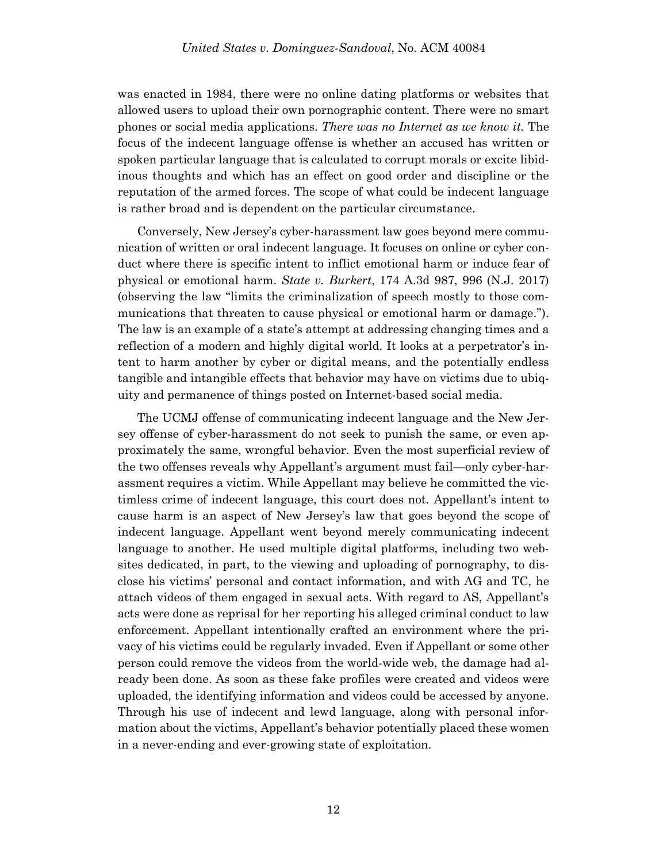was enacted in 1984, there were no online dating platforms or websites that allowed users to upload their own pornographic content. There were no smart phones or social media applications. *There was no Internet as we know it.* The focus of the indecent language offense is whether an accused has written or spoken particular language that is calculated to corrupt morals or excite libidinous thoughts and which has an effect on good order and discipline or the reputation of the armed forces. The scope of what could be indecent language is rather broad and is dependent on the particular circumstance.

Conversely, New Jersey's cyber-harassment law goes beyond mere communication of written or oral indecent language. It focuses on online or cyber conduct where there is specific intent to inflict emotional harm or induce fear of physical or emotional harm. *State v. Burkert*, 174 A.3d 987, 996 (N.J. 2017) (observing the law "limits the criminalization of speech mostly to those communications that threaten to cause physical or emotional harm or damage."). The law is an example of a state's attempt at addressing changing times and a reflection of a modern and highly digital world. It looks at a perpetrator's intent to harm another by cyber or digital means, and the potentially endless tangible and intangible effects that behavior may have on victims due to ubiquity and permanence of things posted on Internet-based social media.

The UCMJ offense of communicating indecent language and the New Jersey offense of cyber-harassment do not seek to punish the same, or even approximately the same, wrongful behavior. Even the most superficial review of the two offenses reveals why Appellant's argument must fail—only cyber-harassment requires a victim. While Appellant may believe he committed the victimless crime of indecent language, this court does not. Appellant's intent to cause harm is an aspect of New Jersey's law that goes beyond the scope of indecent language. Appellant went beyond merely communicating indecent language to another. He used multiple digital platforms, including two websites dedicated, in part, to the viewing and uploading of pornography, to disclose his victims' personal and contact information, and with AG and TC, he attach videos of them engaged in sexual acts. With regard to AS, Appellant's acts were done as reprisal for her reporting his alleged criminal conduct to law enforcement. Appellant intentionally crafted an environment where the privacy of his victims could be regularly invaded. Even if Appellant or some other person could remove the videos from the world-wide web, the damage had already been done. As soon as these fake profiles were created and videos were uploaded, the identifying information and videos could be accessed by anyone. Through his use of indecent and lewd language, along with personal information about the victims, Appellant's behavior potentially placed these women in a never-ending and ever-growing state of exploitation.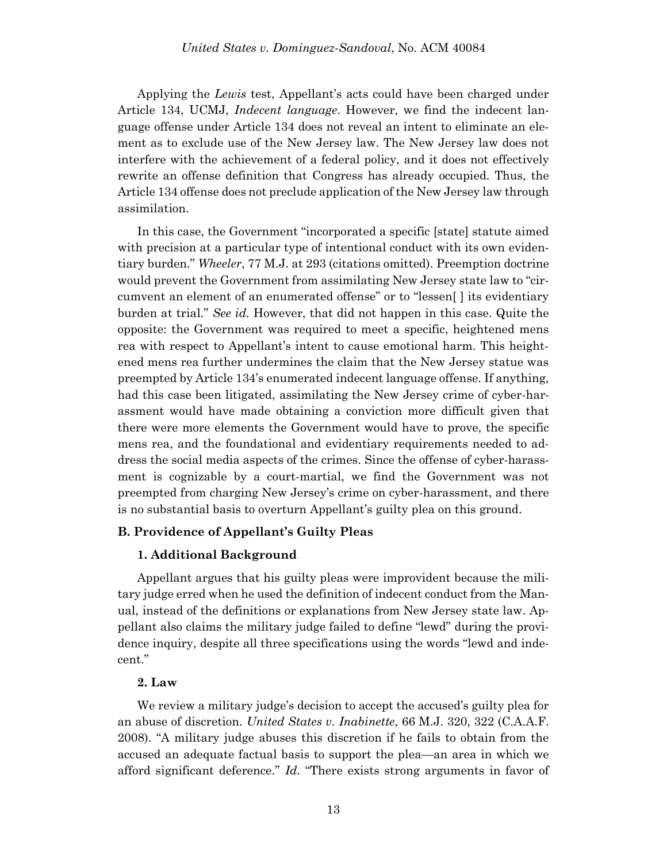Applying the *Lewis* test, Appellant's acts could have been charged under Article 134, UCMJ, *Indecent language*. However, we find the indecent language offense under Article 134 does not reveal an intent to eliminate an element as to exclude use of the New Jersey law. The New Jersey law does not interfere with the achievement of a federal policy, and it does not effectively rewrite an offense definition that Congress has already occupied. Thus, the Article 134 offense does not preclude application of the New Jersey law through assimilation.

In this case, the Government "incorporated a specific [state] statute aimed with precision at a particular type of intentional conduct with its own evidentiary burden." *Wheeler*, 77 M.J. at 293 (citations omitted). Preemption doctrine would prevent the Government from assimilating New Jersey state law to "circumvent an element of an enumerated offense" or to "lessen[ ] its evidentiary burden at trial." *See id.* However, that did not happen in this case. Quite the opposite: the Government was required to meet a specific, heightened mens rea with respect to Appellant's intent to cause emotional harm. This heightened mens rea further undermines the claim that the New Jersey statue was preempted by Article 134's enumerated indecent language offense. If anything, had this case been litigated, assimilating the New Jersey crime of cyber-harassment would have made obtaining a conviction more difficult given that there were more elements the Government would have to prove, the specific mens rea, and the foundational and evidentiary requirements needed to address the social media aspects of the crimes. Since the offense of cyber-harassment is cognizable by a court-martial, we find the Government was not preempted from charging New Jersey's crime on cyber-harassment, and there is no substantial basis to overturn Appellant's guilty plea on this ground.

### **B. Providence of Appellant's Guilty Pleas**

### **1. Additional Background**

Appellant argues that his guilty pleas were improvident because the military judge erred when he used the definition of indecent conduct from the Manual, instead of the definitions or explanations from New Jersey state law. Appellant also claims the military judge failed to define "lewd" during the providence inquiry, despite all three specifications using the words "lewd and indecent."

### **2. Law**

We review a military judge's decision to accept the accused's guilty plea for an abuse of discretion. *United States v. Inabinette*, 66 M.J. 320, 322 (C.A.A.F. 2008). "A military judge abuses this discretion if he fails to obtain from the accused an adequate factual basis to support the plea—an area in which we afford significant deference." *Id*. "There exists strong arguments in favor of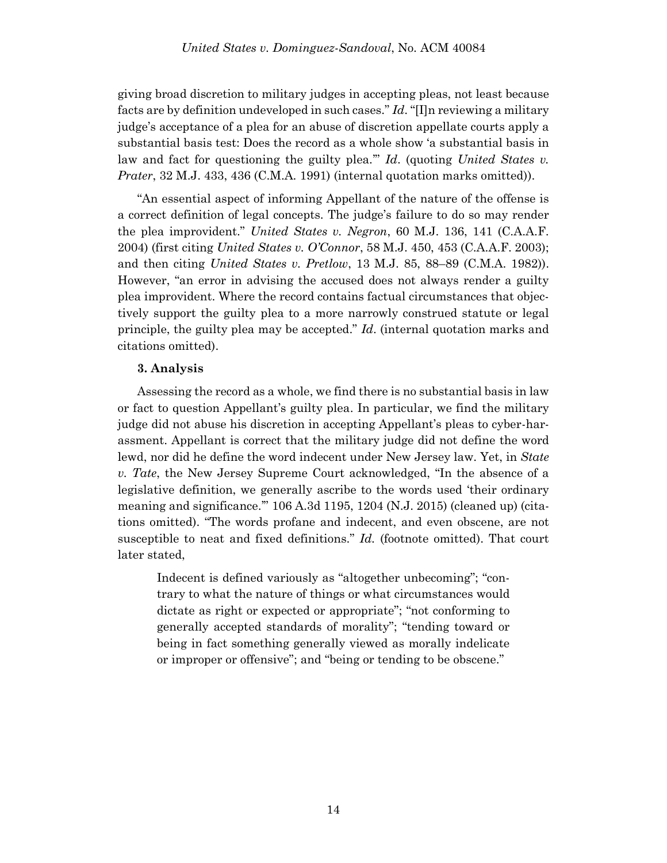giving broad discretion to military judges in accepting pleas, not least because facts are by definition undeveloped in such cases." *Id*. "[I]n reviewing a military judge's acceptance of a plea for an abuse of discretion appellate courts apply a substantial basis test: Does the record as a whole show 'a substantial basis in law and fact for questioning the guilty plea.'" *Id*. (quoting *United States v. Prater*, 32 M.J. 433, 436 (C.M.A. 1991) (internal quotation marks omitted)).

"An essential aspect of informing Appellant of the nature of the offense is a correct definition of legal concepts. The judge's failure to do so may render the plea improvident." *United States v. Negron*, 60 M.J. 136, 141 (C.A.A.F. 2004) (first citing *United States v. O'Connor*, 58 M.J. 450, 453 (C.A.A.F. 2003); and then citing *United States v. Pretlow*, 13 M.J. 85, 88–89 (C.M.A. 1982)). However, "an error in advising the accused does not always render a guilty plea improvident. Where the record contains factual circumstances that objectively support the guilty plea to a more narrowly construed statute or legal principle, the guilty plea may be accepted." *Id*. (internal quotation marks and citations omitted).

### **3. Analysis**

Assessing the record as a whole, we find there is no substantial basis in law or fact to question Appellant's guilty plea. In particular, we find the military judge did not abuse his discretion in accepting Appellant's pleas to cyber-harassment. Appellant is correct that the military judge did not define the word lewd, nor did he define the word indecent under New Jersey law. Yet, in *State v. Tate*, the New Jersey Supreme Court acknowledged, "In the absence of a legislative definition, we generally ascribe to the words used 'their ordinary meaning and significance.'" 106 A.3d 1195, 1204 (N.J. 2015) (cleaned up) (citations omitted). "The words profane and indecent, and even obscene, are not susceptible to neat and fixed definitions." *Id.* (footnote omitted). That court later stated,

Indecent is defined variously as "altogether unbecoming"; "contrary to what the nature of things or what circumstances would dictate as right or expected or appropriate"; "not conforming to generally accepted standards of morality"; "tending toward or being in fact something generally viewed as morally indelicate or improper or offensive"; and "being or tending to be obscene."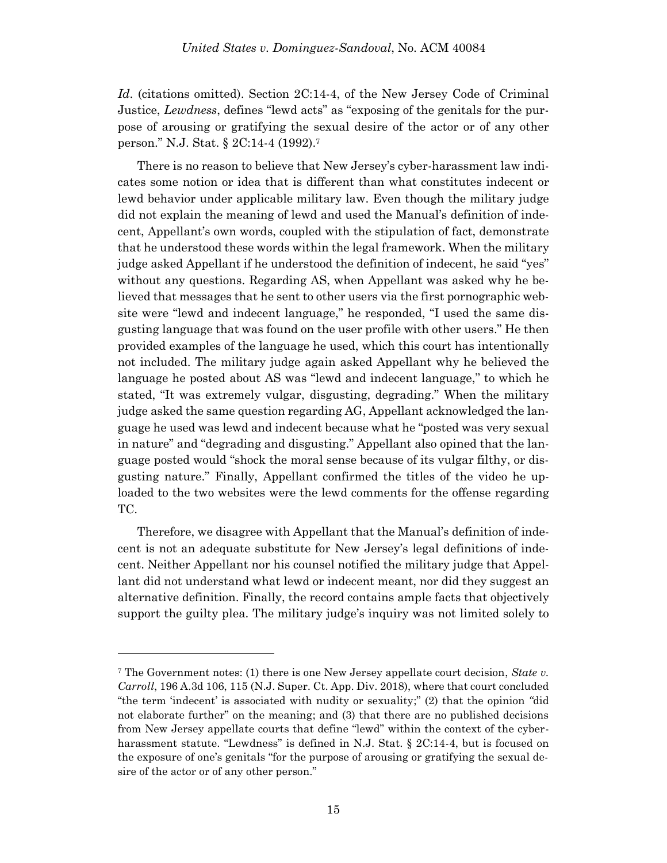*Id*. (citations omitted). Section 2C:14-4, of the New Jersey Code of Criminal Justice, *Lewdness*, defines "lewd acts" as "exposing of the genitals for the purpose of arousing or gratifying the sexual desire of the actor or of any other person." N.J. Stat. § 2C:14-4 (1992). 7

There is no reason to believe that New Jersey's cyber-harassment law indicates some notion or idea that is different than what constitutes indecent or lewd behavior under applicable military law. Even though the military judge did not explain the meaning of lewd and used the Manual's definition of indecent, Appellant's own words, coupled with the stipulation of fact, demonstrate that he understood these words within the legal framework. When the military judge asked Appellant if he understood the definition of indecent, he said "yes" without any questions. Regarding AS, when Appellant was asked why he believed that messages that he sent to other users via the first pornographic website were "lewd and indecent language," he responded, "I used the same disgusting language that was found on the user profile with other users." He then provided examples of the language he used, which this court has intentionally not included. The military judge again asked Appellant why he believed the language he posted about AS was "lewd and indecent language," to which he stated, "It was extremely vulgar, disgusting, degrading." When the military judge asked the same question regarding AG, Appellant acknowledged the language he used was lewd and indecent because what he "posted was very sexual in nature" and "degrading and disgusting." Appellant also opined that the language posted would "shock the moral sense because of its vulgar filthy, or disgusting nature." Finally, Appellant confirmed the titles of the video he uploaded to the two websites were the lewd comments for the offense regarding TC.

Therefore, we disagree with Appellant that the Manual's definition of indecent is not an adequate substitute for New Jersey's legal definitions of indecent. Neither Appellant nor his counsel notified the military judge that Appellant did not understand what lewd or indecent meant, nor did they suggest an alternative definition. Finally, the record contains ample facts that objectively support the guilty plea. The military judge's inquiry was not limited solely to

l

<sup>7</sup> The Government notes: (1) there is one New Jersey appellate court decision, *State v. Carroll*, 196 A.3d 106, 115 (N.J. Super. Ct. App. Div. 2018), where that court concluded "the term 'indecent' is associated with nudity or sexuality;" (2) that the opinion *"*did not elaborate further" on the meaning; and (3) that there are no published decisions from New Jersey appellate courts that define "lewd" within the context of the cyberharassment statute. "Lewdness" is defined in N.J. Stat. § 2C:14-4, but is focused on the exposure of one's genitals "for the purpose of arousing or gratifying the sexual desire of the actor or of any other person."